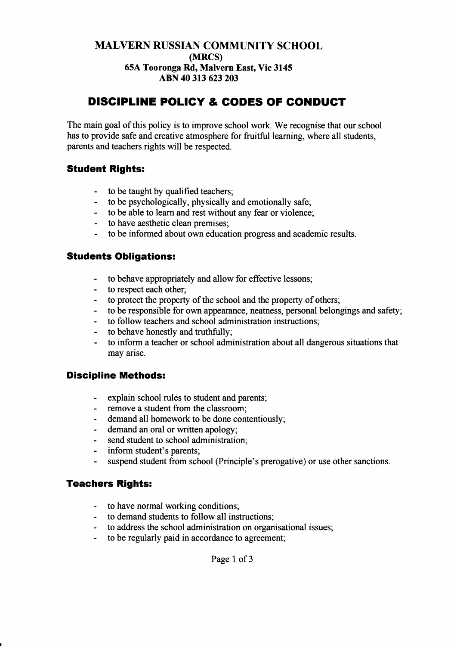## MALVERN RUSSIAN COMMUNITY SCHOOL (MRCS) 65A Tooronga Rd, Malvern East, Vie 3145 ABN 40 313 623 203

# DISCIPLINE POLICY & CODES OF CONDUCT

The main goal of this policy is to improve school work. We recognise that our school has to provide safe and creative atmosphere for fruitful learning, where all students, parents and teachers rights will be respected.

# **Student Rights:**

- to be taught by qualified teachers;
- to be psychologically, physically and emotionally safe;
- to be able to learn and rest without any fear or violence;
- to have aesthetic clean premises;
- to be informed about own education progress and academic results.

## **Students Obligations:**

- to behave appropriately and allow for effective lessons;
- to respect each other;
- to protect the property of the school and the property of others;
- to be responsible for own appearance, neatness, personal belongings and safety;
- to follow teachers and school administration instructions;
- to behave honestly and truthfully;
- to inform a teacher or school administration about all dangerous situations that may arise.

# Discipline Methods:

- explain school rules to student and parents;
- remove a student from the classroom;
- demand all homework to be done contentiously;
- demand an oral or written apology;
- send student to school administration;
- inform student's parents;
- suspend student from school (Principle's prerogative) or use other sanctions.

# **Teachers Rights:**

- to have normal working conditions;
- to demand students to follow all instructions;
- to address the school administration on organisational issues;
- to be regularly paid in accordance to agreement;

## Page 1 of 3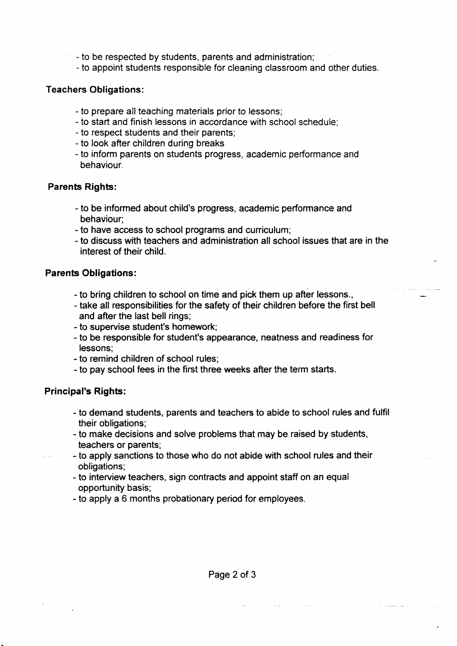-to be respected by students, parents and administration;

-to appoint students responsible for cleaning classroom and other duties.

#### Teachers Obligations:

- -to prepare all teaching materials prior to lessons;
- -to start and finish lessons in accordance with school schedule;
- -to respect students and their parents;
- -to look after children during breaks
- -to inform parents on students progress, academic performance and behaviour,

#### Parents Rights:

- to be informed about child's progress, academic performance and behaviour;
- -to have access to school programs and curriculum;
- to discuss with teachers and administration all school issues that are in the interest Of their child.

#### Parents Obligations:

- to bring children to school on time and pick them up after lessons.,
- take all responsibilities for the safety of their children before the first bell and after the last bell rings;
- to supervise student's homework;
- to be responsible for student's appearance, neatness and readiness for lessons;
- -to remind children of school rules;
- -to pay school fees in the first three weeks after the term starts.

#### Principal's Rights:

- to demand students, parents and teachers to abide to school rules and fulfil their obligations;
- -to make decisions and solve problems that may be raised by students, teachers or parents;
- to apply sanctions to those who do not abide with school rules and their Obligations;
- -to interview teachers, sign contracts and appoint staff on an equal opportunity basis;
- to apply a 6 months probationary period for employees.